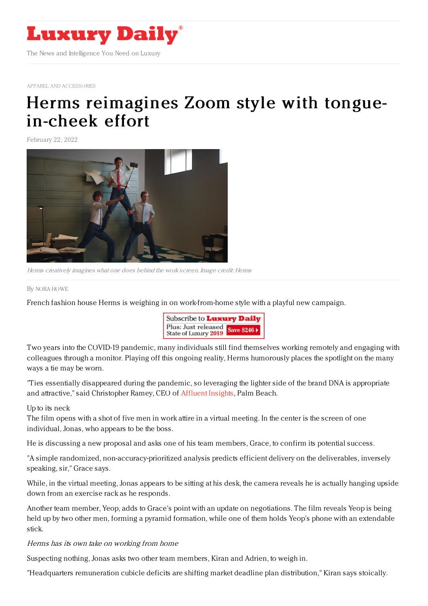

APPAREL AND [ACCESSORIES](https://www.luxurydaily.com/category/sectors/apparel-and-accessories/)

## Herms [reimagines](https://www.luxurydaily.com/hermes-spring-mens-accessories-campaign/) Zoom style with tonguein-cheek effort

February 22, 2022



Herms creatively imagines what one does behind the work screen. Image credit: Herms

By NORA [HOWE](file:///author/nora-howe)

French fashion house Herms is weighing in on work-from-home style with a playful new campaign.



Two years into the COVID-19 pandemic, many individuals still find themselves working remotely and engaging with colleagues through a monitor. Playing off this ongoing reality, Herms humorously places the spotlight on the many ways a tie may be worn.

"Ties essentially disappeared during the pandemic, so leveraging the lighter side of the brand DNA is appropriate and attractive," said Christopher Ramey, CEO of [Affluent](https://designcenterinternational.org/) Insights, Palm Beach.

Up to its neck

The film opens with a shot of five men in work attire in a virtual meeting. In the center is the screen of one individual, Jonas, who appears to be the boss.

He is discussing a new proposal and asks one of his team members, Grace, to confirm its potential success.

"A simple randomized, non-accuracy-prioritized analysis predicts efficient delivery on the deliverables, inversely speaking, sir," Grace says.

While, in the virtual meeting, Jonas appears to be sitting at his desk, the camera reveals he is actually hanging upside down from an exercise rack as he responds.

Another team member, Yeop, adds to Grace's point with an update on negotiations. The film reveals Yeop is being held up by two other men, forming a pyramid formation, while one of them holds Yeop's phone with an extendable stick.

Herms has its own take on working from home

Suspecting nothing, Jonas asks two other team members, Kiran and Adrien, to weigh in.

"Headquarters remuneration cubicle deficits are shifting market deadline plan distribution," Kiran says stoically.